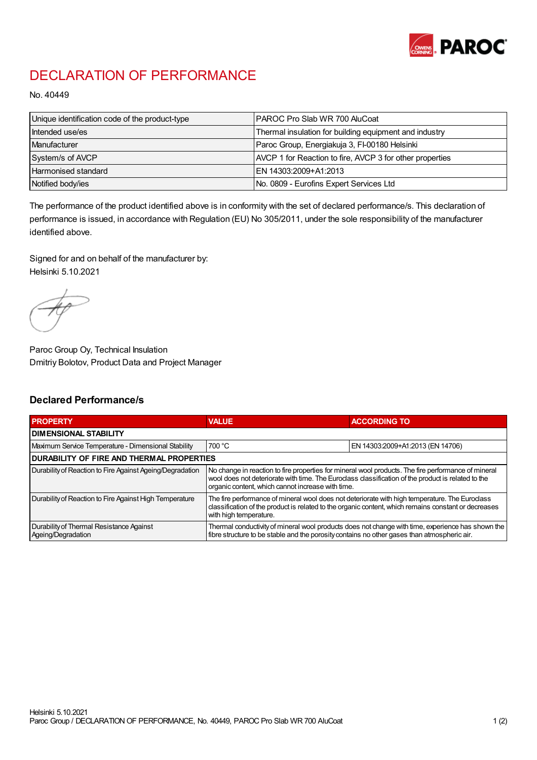

## DECLARATION OF PERFORMANCE

No. 40449

| Unique identification code of the product-type | <b>IPAROC Pro Slab WR 700 AluCoat</b>                    |
|------------------------------------------------|----------------------------------------------------------|
| Intended use/es                                | Thermal insulation for building equipment and industry   |
| Manufacturer                                   | Paroc Group, Energiakuja 3, FI-00180 Helsinki            |
| System/s of AVCP                               | AVCP 1 for Reaction to fire, AVCP 3 for other properties |
| Harmonised standard                            | IEN 14303:2009+A1:2013                                   |
| Notified body/ies                              | No. 0809 - Eurofins Expert Services Ltd                  |

The performance of the product identified above is in conformity with the set of declared performance/s. This declaration of performance is issued, in accordance with Regulation (EU) No 305/2011, under the sole responsibility of the manufacturer identified above.

Signed for and on behalf of the manufacturer by: Helsinki 5.10.2021

Paroc Group Oy, Technical Insulation Dmitriy Bolotov, Product Data and Project Manager

## Declared Performance/s

| <b>PROPERTY</b>                                                | <b>VALUE</b>                                                                                                                                                                                                                                                   | <b>ACCORDING TO.</b>             |  |
|----------------------------------------------------------------|----------------------------------------------------------------------------------------------------------------------------------------------------------------------------------------------------------------------------------------------------------------|----------------------------------|--|
| <b>DIMENSIONAL STABILITY</b>                                   |                                                                                                                                                                                                                                                                |                                  |  |
| Maximum Service Temperature - Dimensional Stability            | 700 °C                                                                                                                                                                                                                                                         | EN 14303:2009+A1:2013 (EN 14706) |  |
| <b>DURABILITY OF FIRE AND THERMAL PROPERTIES</b>               |                                                                                                                                                                                                                                                                |                                  |  |
| Durability of Reaction to Fire Against Ageing/Degradation      | No change in reaction to fire properties for mineral wool products. The fire performance of mineral<br>wool does not deteriorate with time. The Euroclass classification of the product is related to the<br>organic content, which cannot increase with time. |                                  |  |
| Durability of Reaction to Fire Against High Temperature        | The fire performance of mineral wool does not deteriorate with high temperature. The Euroclass<br>classification of the product is related to the organic content, which remains constant or decreases<br>with high temperature.                               |                                  |  |
| Durability of Thermal Resistance Against<br>Ageing/Degradation | Thermal conductivity of mineral wool products does not change with time, experience has shown the<br>fibre structure to be stable and the porosity contains no other gases than atmospheric air.                                                               |                                  |  |